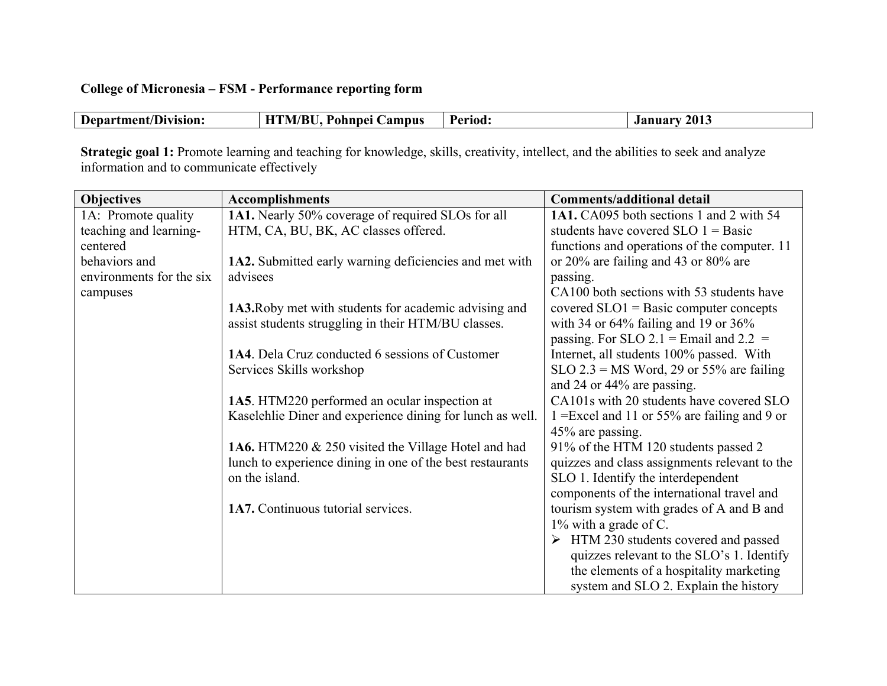## **College of Micronesia – FSM - Performance reporting form**

|  | Department/Division: | HTM/BU, Pohnpei Campus | Period: | 2013<br>January |
|--|----------------------|------------------------|---------|-----------------|
|--|----------------------|------------------------|---------|-----------------|

**Strategic goal 1:** Promote learning and teaching for knowledge, skills, creativity, intellect, and the abilities to seek and analyze information and to communicate effectively

| <b>Objectives</b>        | <b>Accomplishments</b>                                    | <b>Comments/additional detail</b>             |
|--------------------------|-----------------------------------------------------------|-----------------------------------------------|
| 1A: Promote quality      | 1A1. Nearly 50% coverage of required SLOs for all         | 1A1. CA095 both sections 1 and 2 with 54      |
| teaching and learning-   | HTM, CA, BU, BK, AC classes offered.                      | students have covered $SLO$ 1 = Basic         |
| centered                 |                                                           | functions and operations of the computer. 11  |
| behaviors and            | 1A2. Submitted early warning deficiencies and met with    | or 20% are failing and 43 or 80% are          |
| environments for the six | advisees                                                  | passing.                                      |
| campuses                 |                                                           | CA100 both sections with 53 students have     |
|                          | 1A3. Roby met with students for academic advising and     | covered $SLO1 = Basic$ computer concepts      |
|                          | assist students struggling in their HTM/BU classes.       | with 34 or $64\%$ failing and 19 or $36\%$    |
|                          |                                                           | passing. For SLO 2.1 = Email and 2.2 =        |
|                          | 1A4. Dela Cruz conducted 6 sessions of Customer           | Internet, all students 100% passed. With      |
|                          | Services Skills workshop                                  | $SLO$ 2.3 = MS Word, 29 or 55% are failing    |
|                          |                                                           | and 24 or 44% are passing.                    |
|                          | 1A5. HTM220 performed an ocular inspection at             | CA101s with 20 students have covered SLO      |
|                          | Kaselehlie Diner and experience dining for lunch as well. | 1 = Excel and 11 or 55% are failing and 9 or  |
|                          |                                                           | 45% are passing.                              |
|                          | 1A6. HTM220 & 250 visited the Village Hotel and had       | 91% of the HTM 120 students passed 2          |
|                          | lunch to experience dining in one of the best restaurants | quizzes and class assignments relevant to the |
|                          | on the island.                                            | SLO 1. Identify the interdependent            |
|                          |                                                           | components of the international travel and    |
|                          | 1A7. Continuous tutorial services.                        | tourism system with grades of A and B and     |
|                          |                                                           | $1\%$ with a grade of C.                      |
|                          |                                                           | HTM 230 students covered and passed<br>➤      |
|                          |                                                           | quizzes relevant to the SLO's 1. Identify     |
|                          |                                                           | the elements of a hospitality marketing       |
|                          |                                                           | system and SLO 2. Explain the history         |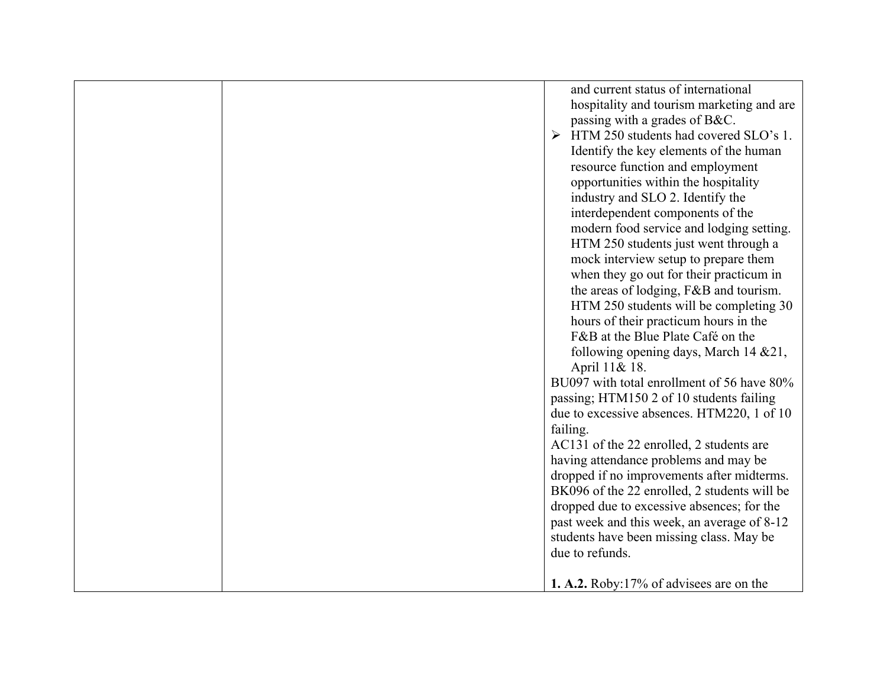|  | failing. | and current status of international<br>hospitality and tourism marketing and are<br>passing with a grades of B&C.<br>$\triangleright$ HTM 250 students had covered SLO's 1.<br>Identify the key elements of the human<br>resource function and employment<br>opportunities within the hospitality<br>industry and SLO 2. Identify the<br>interdependent components of the<br>modern food service and lodging setting.<br>HTM 250 students just went through a<br>mock interview setup to prepare them<br>when they go out for their practicum in<br>the areas of lodging, F&B and tourism.<br>HTM 250 students will be completing 30<br>hours of their practicum hours in the<br>F&B at the Blue Plate Café on the<br>following opening days, March 14 & 21,<br>April 11& 18.<br>BU097 with total enrollment of 56 have 80%<br>passing; HTM150 2 of 10 students failing<br>due to excessive absences. HTM220, 1 of 10<br>AC131 of the 22 enrolled, 2 students are<br>having attendance problems and may be<br>dropped if no improvements after midterms.<br>BK096 of the 22 enrolled, 2 students will be<br>dropped due to excessive absences; for the<br>past week and this week, an average of 8-12<br>students have been missing class. May be<br>due to refunds. |
|--|----------|----------------------------------------------------------------------------------------------------------------------------------------------------------------------------------------------------------------------------------------------------------------------------------------------------------------------------------------------------------------------------------------------------------------------------------------------------------------------------------------------------------------------------------------------------------------------------------------------------------------------------------------------------------------------------------------------------------------------------------------------------------------------------------------------------------------------------------------------------------------------------------------------------------------------------------------------------------------------------------------------------------------------------------------------------------------------------------------------------------------------------------------------------------------------------------------------------------------------------------------------------------------------|
|  |          | <b>1. A.2.</b> Roby:17% of advisees are on the                                                                                                                                                                                                                                                                                                                                                                                                                                                                                                                                                                                                                                                                                                                                                                                                                                                                                                                                                                                                                                                                                                                                                                                                                       |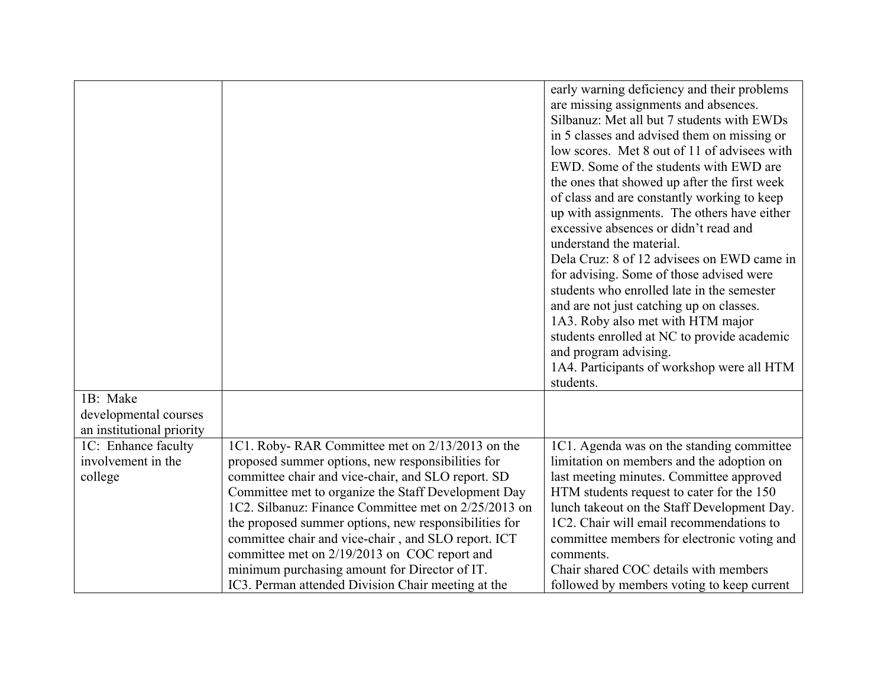| 1B: Make                                             |                                                                                                                                                                                                                                                                                                                                                                                                                                                                                                                                                  | early warning deficiency and their problems<br>are missing assignments and absences.<br>Silbanuz: Met all but 7 students with EWDs<br>in 5 classes and advised them on missing or<br>low scores. Met 8 out of 11 of advisees with<br>EWD. Some of the students with EWD are<br>the ones that showed up after the first week<br>of class and are constantly working to keep<br>up with assignments. The others have either<br>excessive absences or didn't read and<br>understand the material.<br>Dela Cruz: 8 of 12 advisees on EWD came in<br>for advising. Some of those advised were<br>students who enrolled late in the semester<br>and are not just catching up on classes.<br>1A3. Roby also met with HTM major<br>students enrolled at NC to provide academic<br>and program advising.<br>1A4. Participants of workshop were all HTM<br>students. |
|------------------------------------------------------|--------------------------------------------------------------------------------------------------------------------------------------------------------------------------------------------------------------------------------------------------------------------------------------------------------------------------------------------------------------------------------------------------------------------------------------------------------------------------------------------------------------------------------------------------|------------------------------------------------------------------------------------------------------------------------------------------------------------------------------------------------------------------------------------------------------------------------------------------------------------------------------------------------------------------------------------------------------------------------------------------------------------------------------------------------------------------------------------------------------------------------------------------------------------------------------------------------------------------------------------------------------------------------------------------------------------------------------------------------------------------------------------------------------------|
| developmental courses                                |                                                                                                                                                                                                                                                                                                                                                                                                                                                                                                                                                  |                                                                                                                                                                                                                                                                                                                                                                                                                                                                                                                                                                                                                                                                                                                                                                                                                                                            |
| an institutional priority                            |                                                                                                                                                                                                                                                                                                                                                                                                                                                                                                                                                  |                                                                                                                                                                                                                                                                                                                                                                                                                                                                                                                                                                                                                                                                                                                                                                                                                                                            |
| 1C: Enhance faculty<br>involvement in the<br>college | 1C1. Roby-RAR Committee met on 2/13/2013 on the<br>proposed summer options, new responsibilities for<br>committee chair and vice-chair, and SLO report. SD<br>Committee met to organize the Staff Development Day<br>1C2. Silbanuz: Finance Committee met on 2/25/2013 on<br>the proposed summer options, new responsibilities for<br>committee chair and vice-chair, and SLO report. ICT<br>committee met on 2/19/2013 on COC report and<br>minimum purchasing amount for Director of IT.<br>IC3. Perman attended Division Chair meeting at the | 1C1. Agenda was on the standing committee<br>limitation on members and the adoption on<br>last meeting minutes. Committee approved<br>HTM students request to cater for the 150<br>lunch takeout on the Staff Development Day.<br>1C2. Chair will email recommendations to<br>committee members for electronic voting and<br>comments.<br>Chair shared COC details with members<br>followed by members voting to keep current                                                                                                                                                                                                                                                                                                                                                                                                                              |